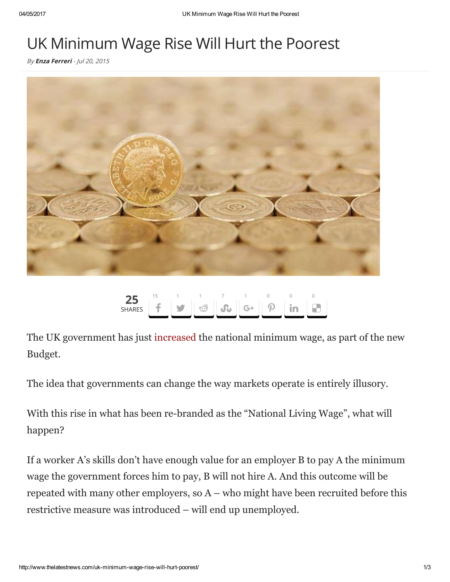## UK Minimum Wage Rise Will Hurt the Poorest

By **Enza [Ferreri](http://www.thelatestnews.com/author/fenza/)** - Jul 20, 2015



## 25 **SHARFS** 15 d1  $\mathbb{C}^3$ 1 [n](http://www.stumbleupon.com/badge/?url=http://www.thelatestnews.com/uk-minimum-wage-rise-will-hurt-poorest/)7  $G+$ 1  $\mathcal{P}$ 0 in 0  $\blacksquare$ 0

The UK government has just [increased](http://www.bbc.co.uk/news/uk-politics-31907601) the national minimum wage, as part of the new Budget.

The idea that governments can change the way markets operate is entirely illusory.

With this rise in what has been re-branded as the "National Living Wage", what will happen?

If a worker A's skills don't have enough value for an employer B to pay A the minimum wage the government forces him to pay, B will not hire A. And this outcome will be repeated with many other employers, so A – who might have been recruited before this restrictive measure was introduced – will end up unemployed.